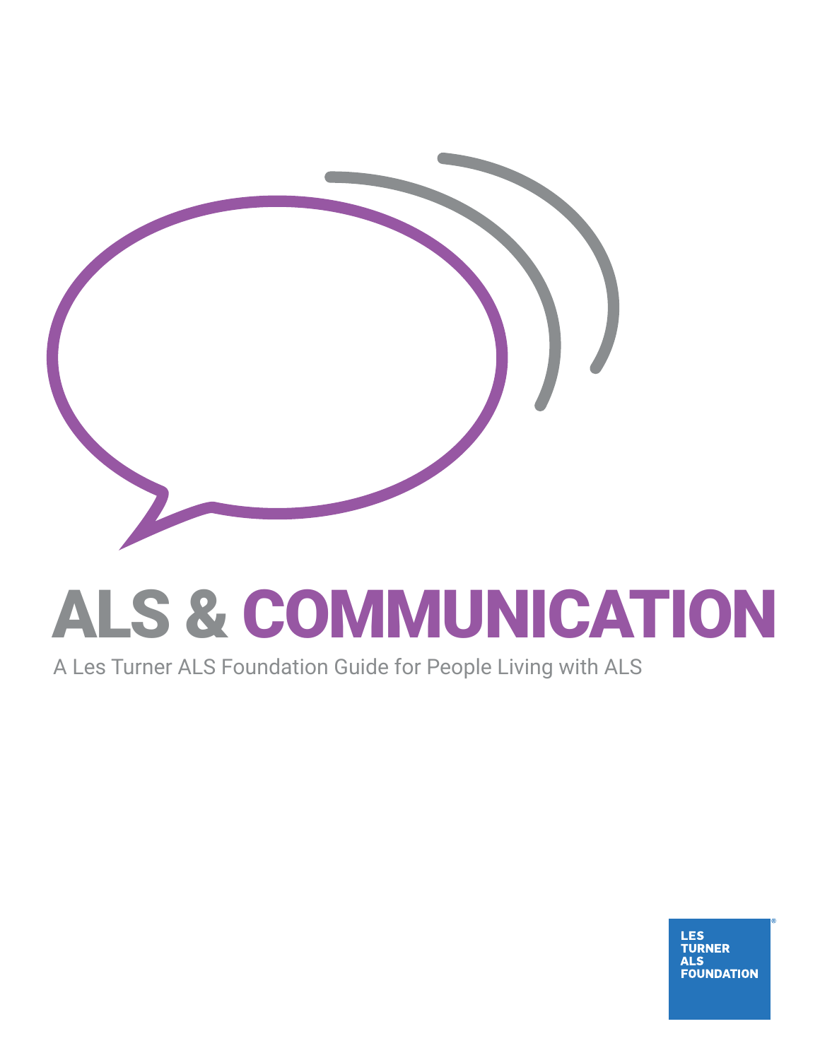

# ALS & COMMUNICATION

A Les Turner ALS Foundation Guide for People Living with ALS

**LES<br>TURNER ALS FOUNDATION**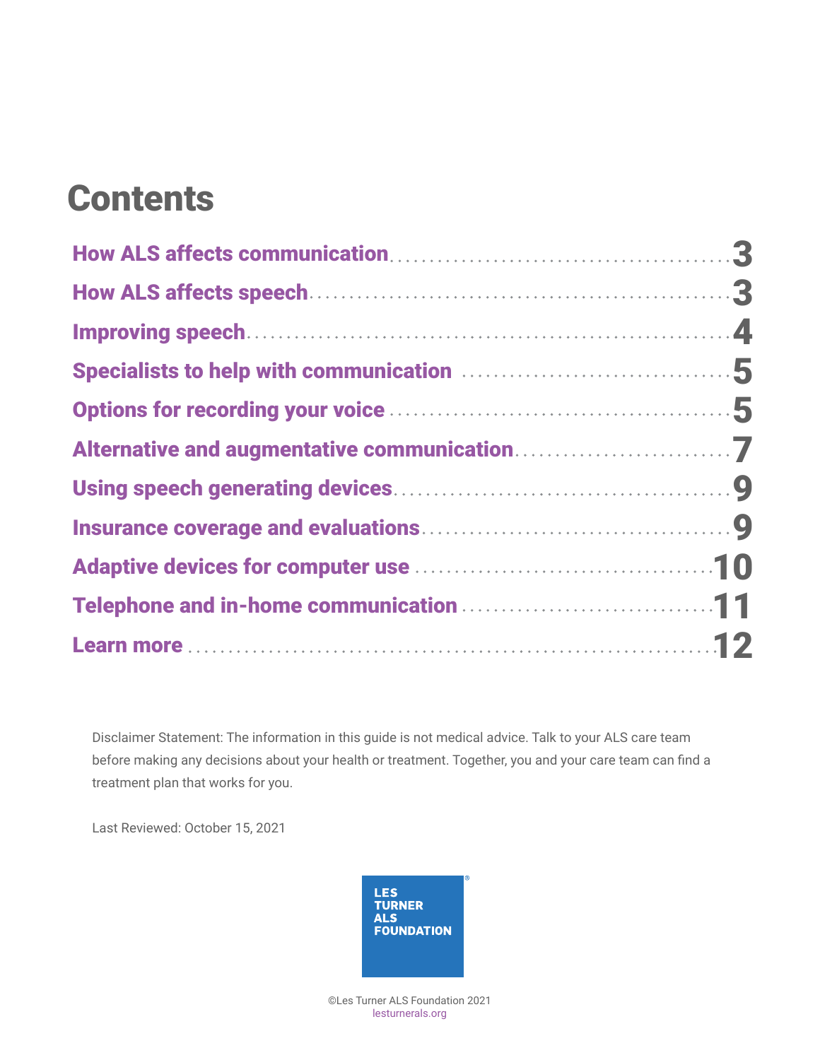### **Contents**

| Telephone and in-home communication <b>ELECTER</b> 2014 11 |  |
|------------------------------------------------------------|--|
|                                                            |  |

Disclaimer Statement: The information in this guide is not medical advice. Talk to your ALS care team before making any decisions about your health or treatment. Together, you and your care team can find a treatment plan that works for you.

Last Reviewed: October 15, 2021



©Les Turner ALS Foundation 2021 [lesturnerals.org](http://lesturnerals.org)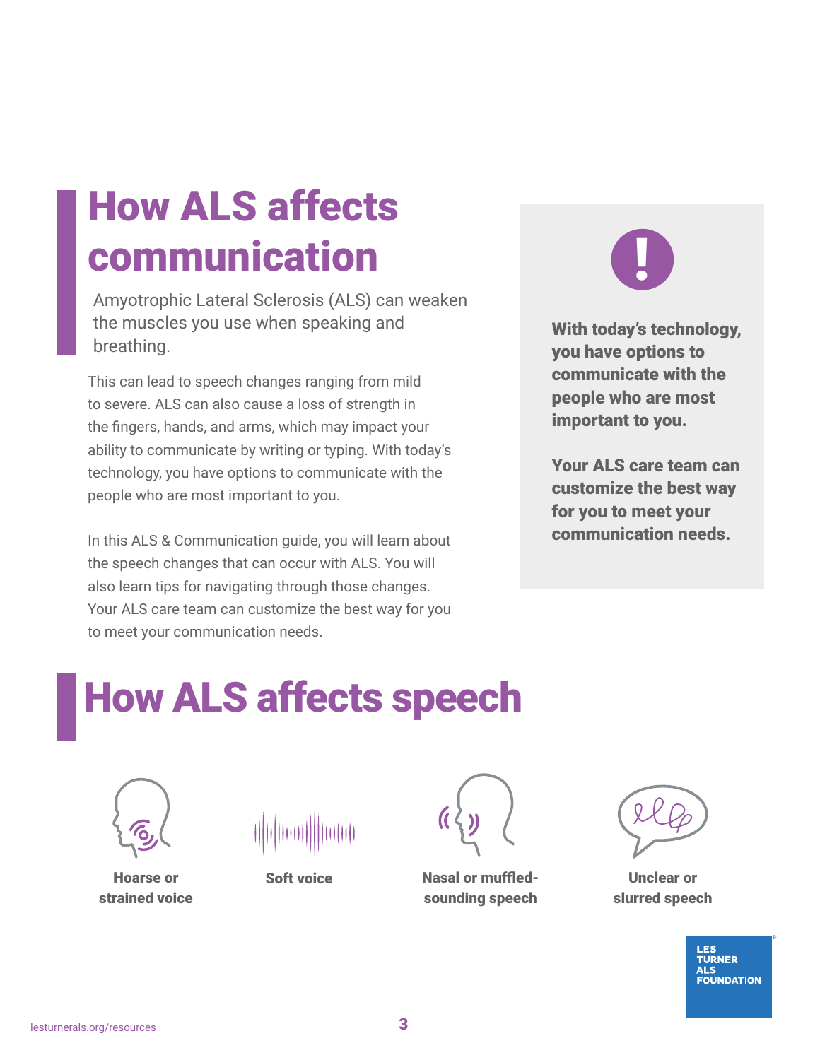### <span id="page-2-0"></span>How ALS affects communication

Amyotrophic Lateral Sclerosis (ALS) can weaken the muscles you use when speaking and breathing.

This can lead to speech changes ranging from mild to severe. ALS can also cause a loss of strength in the fingers, hands, and arms, which may impact your ability to communicate by writing or typing. With today's technology, you have options to communicate with the people who are most important to you.

In this ALS & Communication guide, you will learn about the speech changes that can occur with ALS. You will also learn tips for navigating through those changes. Your ALS care team can customize the best way for you to meet your communication needs.

# **!**

With today's technology, you have options to communicate with the people who are most important to you.

Your ALS care team can customize the best way for you to meet your communication needs.

# How ALS affects speech



minh

Hoarse or strained voice

Soft voice



Nasal or muffledsounding speech



Unclear or slurred speech

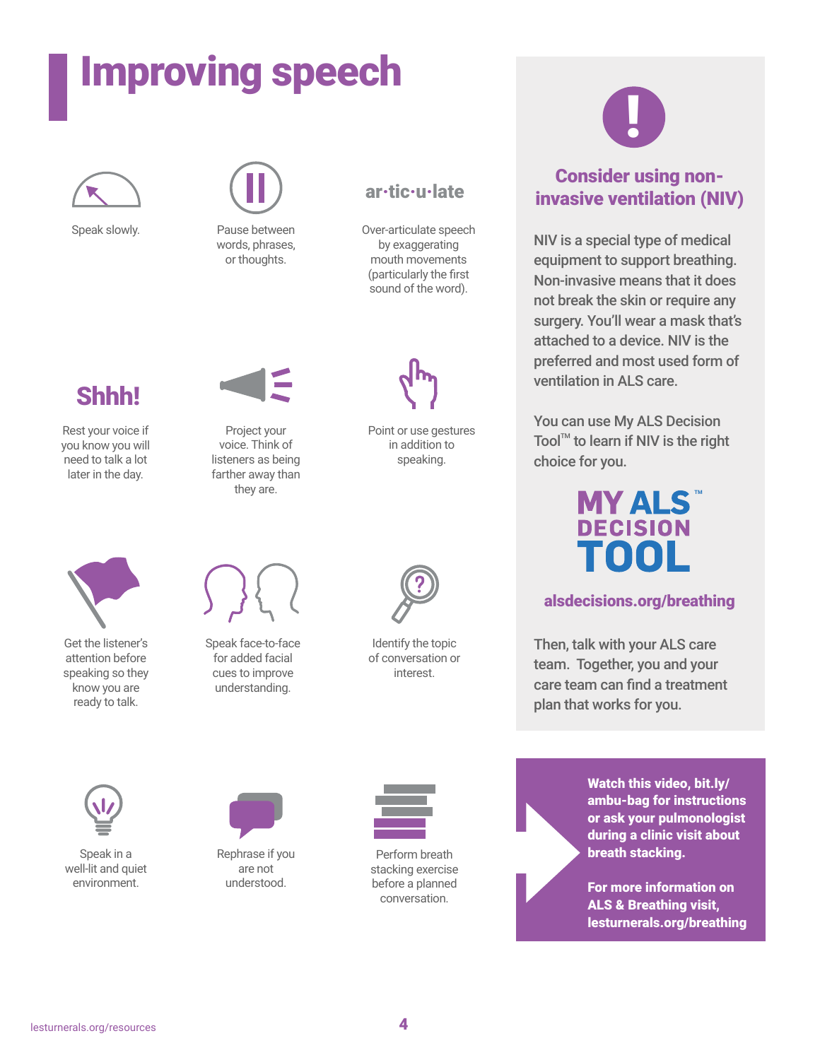# <span id="page-3-0"></span>Improving speech





Speak slowly. Pause between words, phrases, or thoughts.



Over-articulate speech mouth movements

### Shhh!

Rest your voice if you know you will need to talk a lot later in the day.



Project your voice. Think of listeners as being farther away than they are.



Get the listener's attention before speaking so they know you are ready to talk.



Speak face-to-face for added facial cues to improve understanding.

Rephrase if you are not understood.



by exaggerating

ar·tic·u·late

(particularly the first sound of the word).

Point or use gestures in addition to speaking.

Identify the topic of conversation or interest.



Perform breath stacking exercise before a planned conversation.



#### Consider using noninvasive ventilation (NIV)

NIV is a special type of medical equipment to support breathing. Non-invasive means that it does not break the skin or require any surgery. You'll wear a mask that's attached to a device. NIV is the preferred and most used form of ventilation in ALS care.

You can use My ALS Decision Tool $M$  to learn if NIV is the right choice for you.



#### [alsdecisions.org/breathing](http://alsdecisions.org/breathing   )

Then, talk with your ALS care team. Together, you and your care team can find a treatment plan that works for you.

Watch this video, [bit.ly/](http://bit.ly/ambu-bag) [ambu-bag](http://bit.ly/ambu-bag) for instructions or ask your pulmonologist during a clinic visit about breath stacking.

For more information on ALS & Breathing visit, [lesturnerals.org/breathing](http://lesturnerals.org/breathing)



Speak in a well-lit and quiet environment.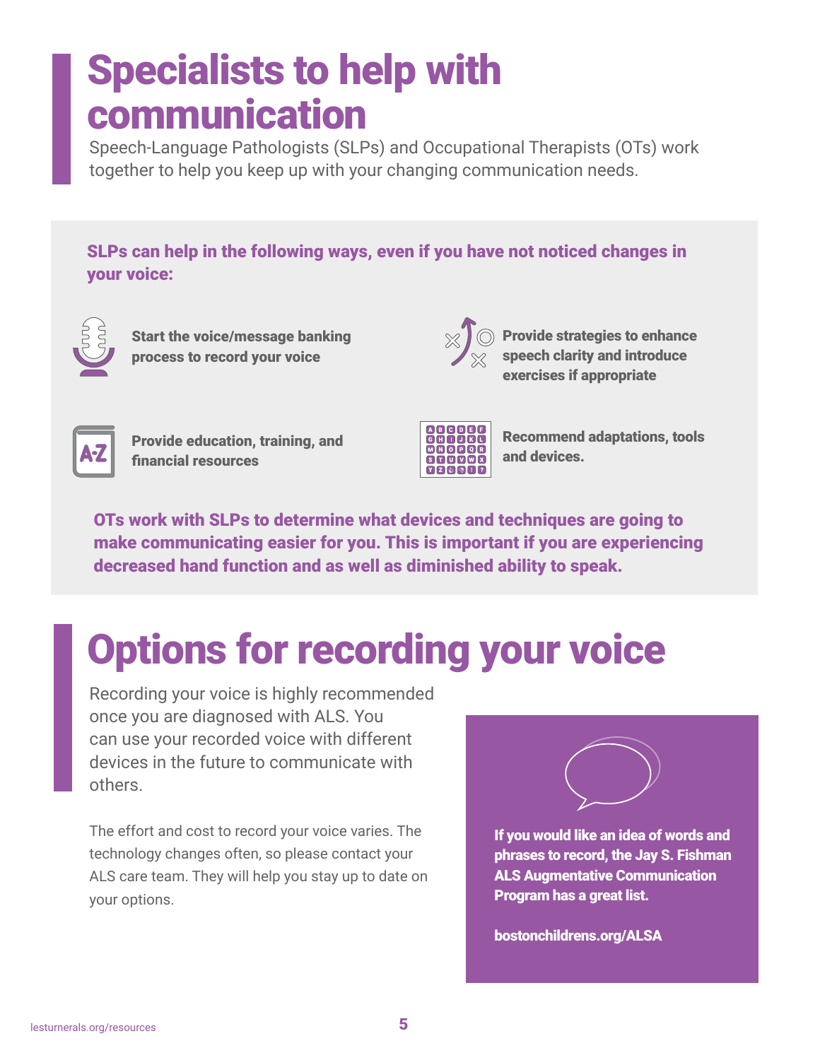### <span id="page-4-0"></span>Specialists to help with communication

Speech-Language Pathologists (SLPs) and Occupational Therapists (OTs) work together to help you keep up with your changing communication needs.

SLPs can help in the following ways, even if you have not noticed changes in your voice:



Start the voice/message banking process to record your voice



Provide strategies to enhance speech clarity and introduce exercises if appropriate



Provide education, training, and financial resources



Recommend adaptations, tools and devices.

OTs work with SLPs to determine what devices and techniques are going to make communicating easier for you. This is important if you are experiencing decreased hand function and as well as diminished ability to speak.

## Options for recording your voice

Recording your voice is highly recommended once you are diagnosed with ALS. You can use your recorded voice with different devices in the future to communicate with others.

The effort and cost to record your voice varies. The technology changes often, so please contact your ALS care team. They will help you stay up to date on your options.



If you would like an idea of words and phrases to record, the Jay S. Fishman ALS Augmentative Communication Program has a great list.

[bostonchildrens.org/ALSA](http://lesturnerals.org/wp-content/uploads/2021/09/
Messagebankdefinitionsandvocab201613.pdf

)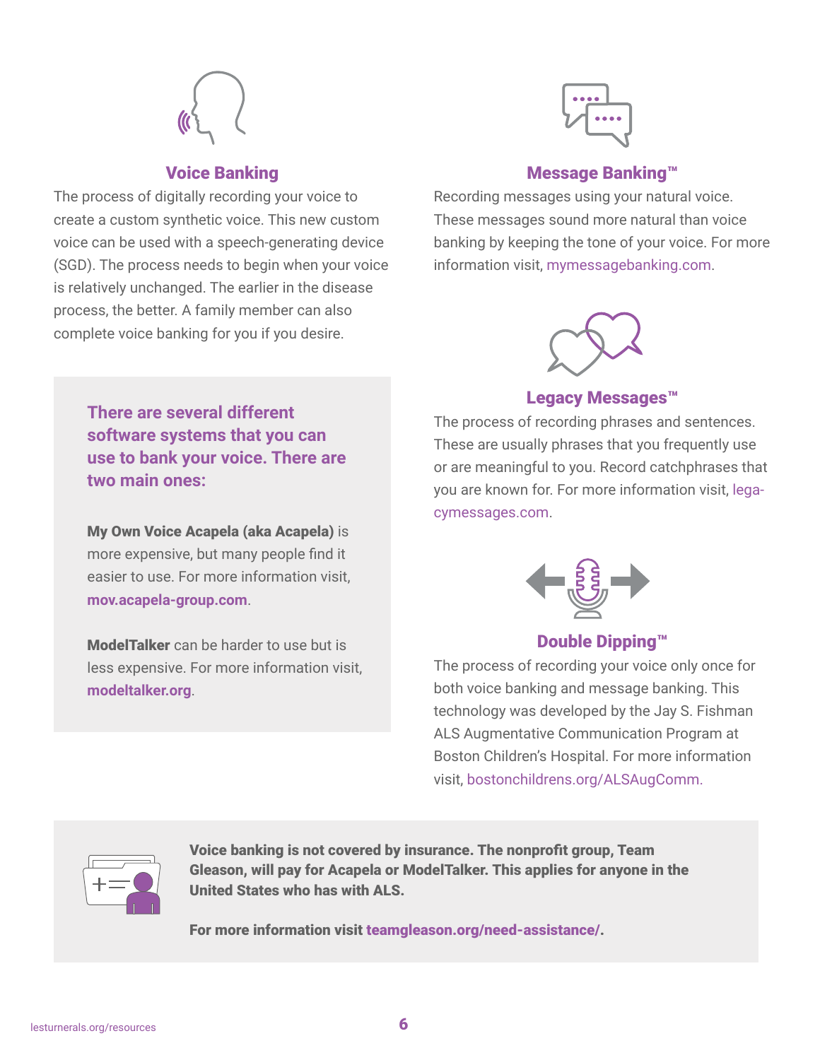

#### Voice Banking

The process of digitally recording your voice to create a custom synthetic voice. This new custom voice can be used with a speech-generating device (SGD). The process needs to begin when your voice is relatively unchanged. The earlier in the disease process, the better. A family member can also complete voice banking for you if you desire.

> My Own Voice Acapela (aka Acapela) is more expensive, but many people find it easier to use. For more information visit,

**There are several different** 

**software systems that you can use to bank your voice. There are** 

ModelTalker can be harder to use but is less expensive. For more information visit,

**[mov.acapela-group.com](http://mov.acapela-group.com)**.

**[modeltalker.org](http://modeltalker.org)**.

**two main ones:** 



#### Message Banking™

Recording messages using your natural voice. These messages sound more natural than voice banking by keeping the tone of your voice. For more information visit, [mymessagebanking.com](http://mymessagebanking.com).



#### Legacy Messages™

The process of recording phrases and sentences. These are usually phrases that you frequently use or are meaningful to you. Record catchphrases that you are known for. For more information visit, [lega](http://legacymessages.com)[cymessages.com.](http://legacymessages.com)



#### Double Dipping™

The process of recording your voice only once for both voice banking and message banking. This technology was developed by the Jay S. Fishman ALS Augmentative Communication Program at Boston Children's Hospital. For more information visit, [bostonchildrens.org/ALSAugComm](http://bostonchildrens.org/ALSAugComm).



Voice banking is not covered by insurance. The nonprofit group, Team Gleason, will pay for Acapela or ModelTalker. This applies for anyone in the United States who has with ALS.

For more information visit [teamgleason.org/need-assistance/](http://teamgleason.org/need-assistance/).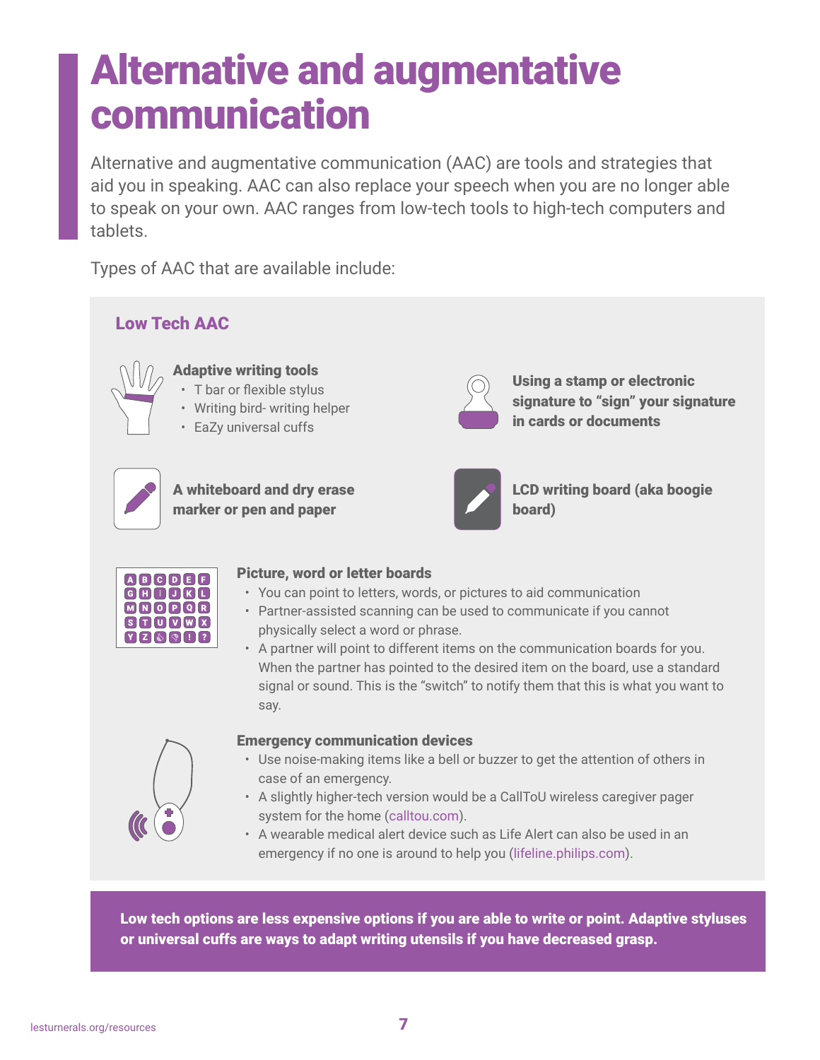### <span id="page-6-0"></span>Alternative and augmentative communication

Alternative and augmentative communication (AAC) are tools and strategies that aid you in speaking. AAC can also replace your speech when you are no longer able to speak on your own. AAC ranges from low-tech tools to high-tech computers and tablets.

Types of AAC that are available include:



Low tech options are less expensive options if you are able to write or point. Adaptive styluses or universal cuffs are ways to adapt writing utensils if you have decreased grasp.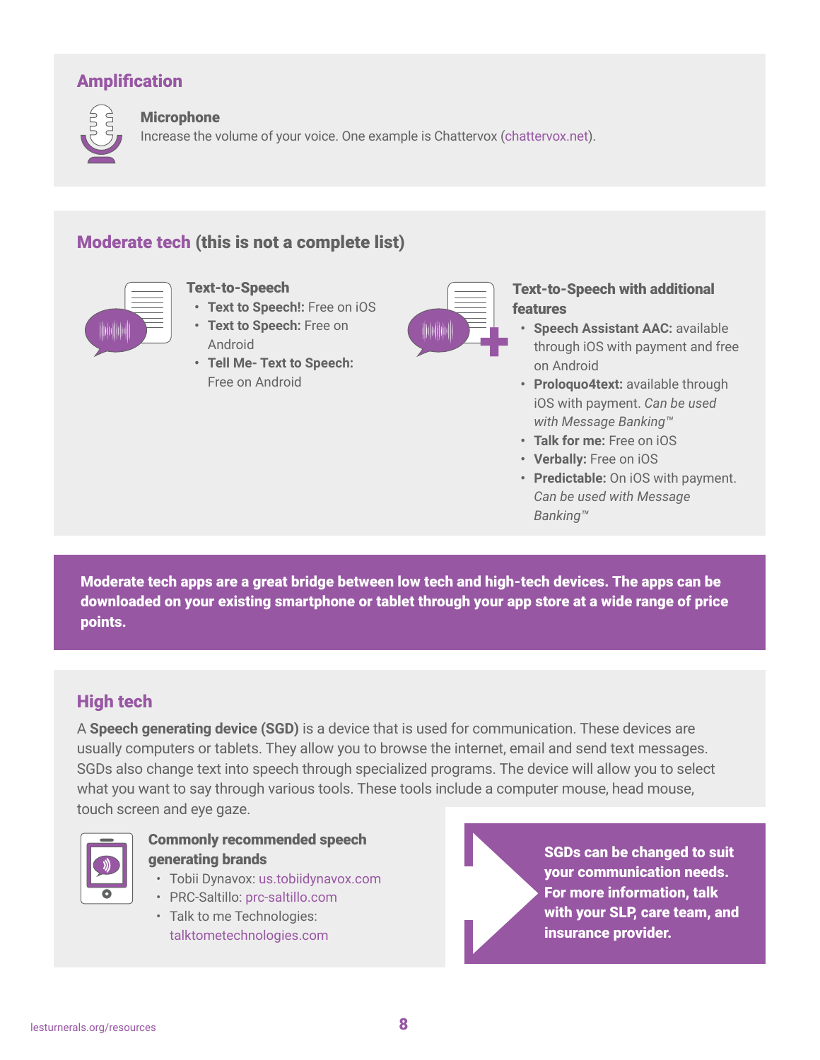#### Amplification



#### **Microphone**

Increase the volume of your voice. One example is Chattervox [\(chattervox.net](http://chattervox.net)).

#### Moderate tech (this is not a complete list)



- Text-to-Speech
- **• Text to Speech!:** Free on iOS
- **• Text to Speech:** Free on Android
- **• Tell Me- Text to Speech:** Free on Android



#### Text-to-Speech with additional features

- **• Speech Assistant AAC:** available through iOS with payment and free on Android
- **• Proloquo4text:** available through iOS with payment. *Can be used with Message Banking™*
- **• Talk for me:** Free on iOS
- **• Verbally:** Free on iOS
- **• Predictable:** On iOS with payment. *Can be used with Message Banking™*

Moderate tech apps are a great bridge between low tech and high-tech devices. The apps can be downloaded on your existing smartphone or tablet through your app store at a wide range of price points.

#### High tech

A **Speech generating device (SGD)** is a device that is used for communication. These devices are usually computers or tablets. They allow you to browse the internet, email and send text messages. SGDs also change text into speech through specialized programs. The device will allow you to select what you want to say through various tools. These tools include a computer mouse, head mouse, touch screen and eye gaze.



#### Commonly recommended speech generating brands

- Tobii Dynavox: [us.tobiidynavox.com](http://us.tobiidynavox.com)
- PRC-Saltillo: [prc-saltillo.com](http://prc-saltillo.com)
- Talk to me Technologies: [talktometechnologies.com](http://talktometechnologies.com)

SGDs can be changed to suit your communication needs. For more information, talk with your SLP, care team, and insurance provider.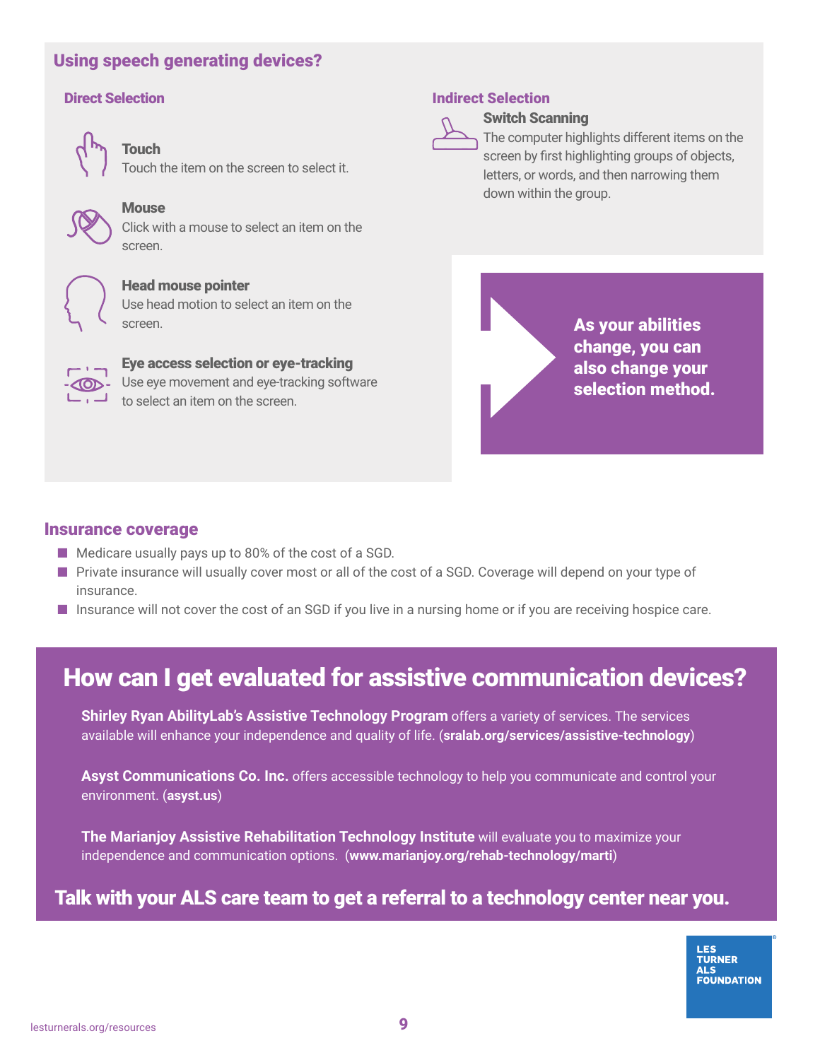#### <span id="page-8-0"></span>Using speech generating devices?

#### Direct Selection



Touch

Touch the item on the screen to select it.



#### **Mouse**

Click with a mouse to select an item on the screen.



#### Head mouse pointer

Use head motion to select an item on the screen.



Eye access selection or eye-tracking Use eye movement and eye-tracking software to select an item on the screen.

#### Indirect Selection



#### Switch Scanning

The computer highlights different items on the screen by first highlighting groups of objects, letters, or words, and then narrowing them down within the group.

> As your abilities change, you can also change your selection method.

#### Insurance coverage

- Medicare usually pays up to 80% of the cost of a SGD.
- Private insurance will usually cover most or all of the cost of a SGD. Coverage will depend on your type of insurance.
- Insurance will not cover the cost of an SGD if you live in a nursing home or if you are receiving hospice care.

#### How can I get evaluated for assistive communication devices?

**Shirley Ryan AbilityLab's Assistive Technology Program** offers a variety of services. The services available will enhance your independence and quality of life. (**[sralab.org/services/assistive-technology](http://sralab.org/services/assistive-technology)**)

**Asyst Communications Co. Inc.** offers accessible technology to help you communicate and control your environment. (**[asyst.us](http://asyst.us)**)

**The Marianjoy Assistive Rehabilitation Technology Institute** will evaluate you to maximize your independence and communication options. (**[www.marianjoy.org/rehab-technology/marti](http://www.marianjoy.org/rehab-technology/marti)**)

#### Talk with your ALS care team to get a referral to a technology center near you.

**LES TURNER** AI S **FOUNDATION**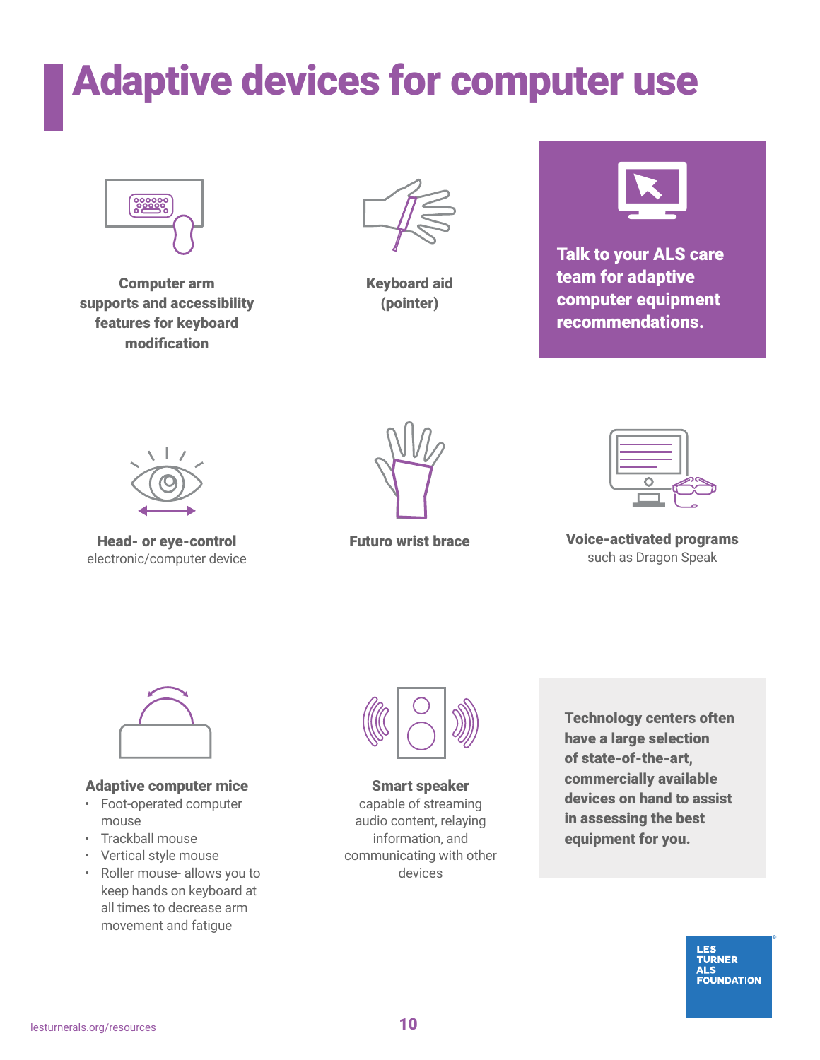### <span id="page-9-0"></span>Adaptive devices for computer use



Computer arm supports and accessibility features for keyboard modification



Keyboard aid (pointer)



Talk to your ALS care team for adaptive computer equipment recommendations.



Head- or eye-control electronic/computer device



Futuro wrist brace



Voice-activated programs such as Dragon Speak



#### Adaptive computer mice

- Foot-operated computer mouse
- Trackball mouse
- Vertical style mouse
- Roller mouse- allows you to keep hands on keyboard at all times to decrease arm movement and fatigue



Smart speaker capable of streaming audio content, relaying information, and communicating with other devices

Technology centers often have a large selection of state-of-the-art, commercially available devices on hand to assist in assessing the best equipment for you.

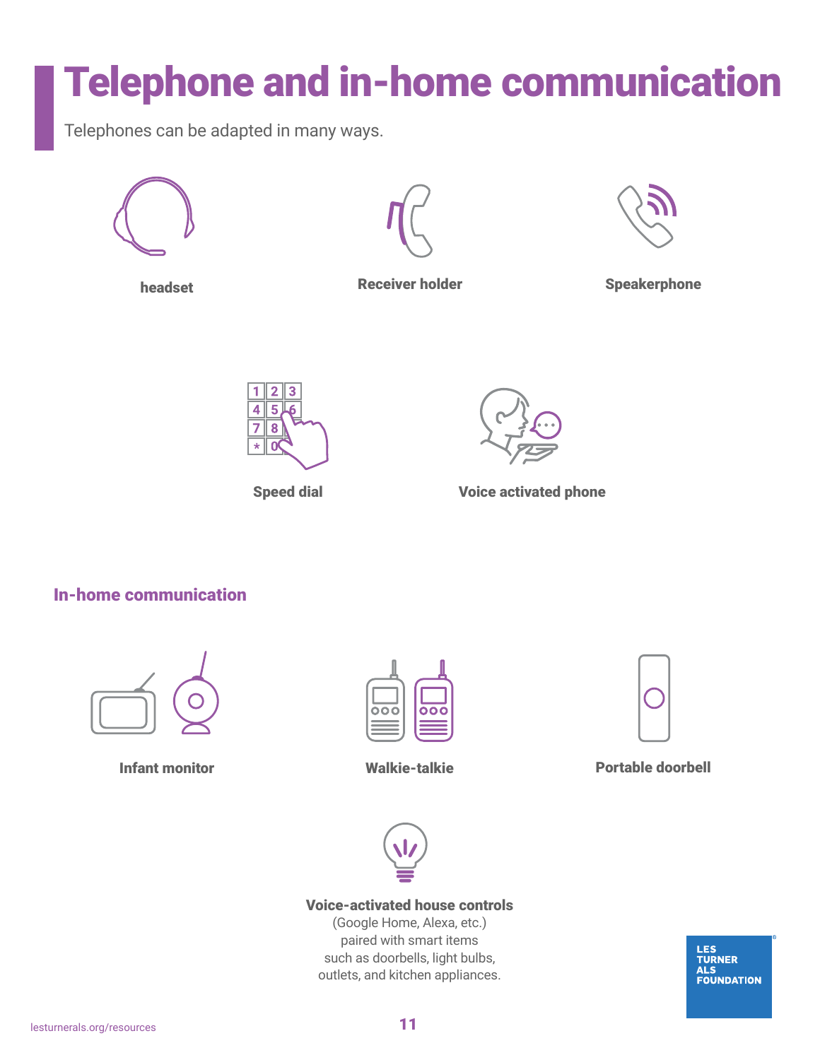## <span id="page-10-0"></span>Telephone and in-home communication

Telephones can be adapted in many ways.









headset **Receiver holder** Speakerphone





Speed dial **Voice activated phone** 

In-home communication







Infant monitor Walkie-talkie Portable doorbell



#### Voice-activated house controls

(Google Home, Alexa, etc.) paired with smart items such as doorbells, light bulbs, outlets, and kitchen appliances.